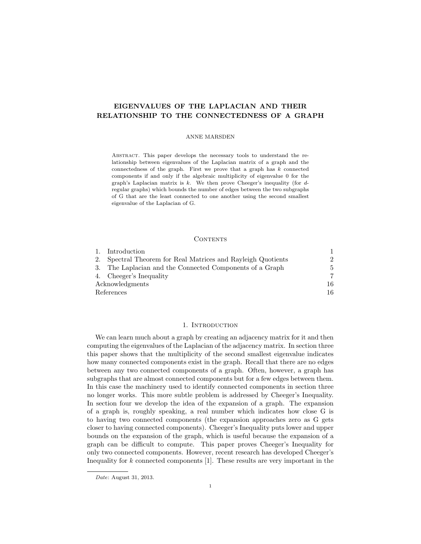# EIGENVALUES OF THE LAPLACIAN AND THEIR RELATIONSHIP TO THE CONNECTEDNESS OF A GRAPH

#### ANNE MARSDEN

Abstract. This paper develops the necessary tools to understand the relationship between eigenvalues of the Laplacian matrix of a graph and the connectedness of the graph. First we prove that a graph has  $k$  connected components if and only if the algebraic multiplicity of eigenvalue 0 for the graph's Laplacian matrix is  $k$ . We then prove Cheeger's inequality (for  $d$ regular graphs) which bounds the number of edges between the two subgraphs of G that are the least connected to one another using the second smallest eigenvalue of the Laplacian of G.

### **CONTENTS**

|                 | Introduction                                              |               |
|-----------------|-----------------------------------------------------------|---------------|
| 2.              | Spectral Theorem for Real Matrices and Rayleigh Quotients | $\mathcal{D}$ |
| 3.              | The Laplacian and the Connected Components of a Graph     | 5             |
|                 | 4. Cheeger's Inequality                                   | 7             |
| Acknowledgments |                                                           | 16            |
| References      |                                                           | 16            |

## 1. INTRODUCTION

We can learn much about a graph by creating an adjacency matrix for it and then computing the eigenvalues of the Laplacian of the adjacency matrix. In section three this paper shows that the multiplicity of the second smallest eigenvalue indicates how many connected components exist in the graph. Recall that there are no edges between any two connected components of a graph. Often, however, a graph has subgraphs that are almost connected components but for a few edges between them. In this case the machinery used to identify connected components in section three no longer works. This more subtle problem is addressed by Cheeger's Inequality. In section four we develop the idea of the expansion of a graph. The expansion of a graph is, roughly speaking, a real number which indicates how close G is to having two connected components (the expansion approaches zero as G gets closer to having connected components). Cheeger's Inequality puts lower and upper bounds on the expansion of the graph, which is useful because the expansion of a graph can be difficult to compute. This paper proves Cheeger's Inequality for only two connected components. However, recent research has developed Cheeger's Inequality for  $k$  connected components  $[1]$ . These results are very important in the

Date: August 31, 2013.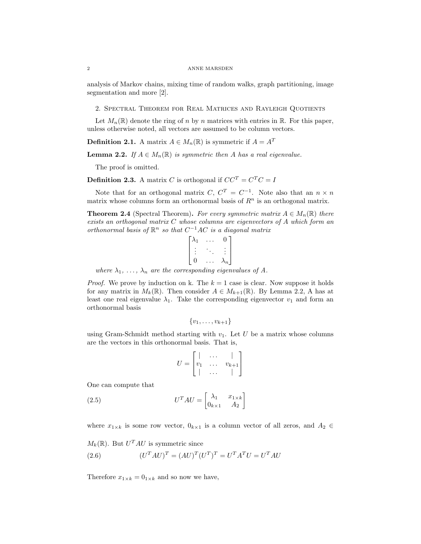### 2 ANNE MARSDEN

analysis of Markov chains, mixing time of random walks, graph partitioning, image segmentation and more [2].

2. Spectral Theorem for Real Matrices and Rayleigh Quotients

Let  $M_n(\mathbb{R})$  denote the ring of n by n matrices with entries in  $\mathbb{R}$ . For this paper, unless otherwise noted, all vectors are assumed to be column vectors.

**Definition 2.1.** A matrix  $A \in M_n(\mathbb{R})$  is symmetric if  $A = A^T$ 

**Lemma 2.2.** If  $A \in M_n(\mathbb{R})$  is symmetric then A has a real eigenvalue.

The proof is omitted.

**Definition 2.3.** A matrix C is orthogonal if  $CC^T = C^TC = I$ 

Note that for an orthogonal matrix  $C, C^T = C^{-1}$ . Note also that an  $n \times n$ matrix whose columns form an orthonormal basis of  $R<sup>n</sup>$  is an orthogonal matrix.

**Theorem 2.4** (Spectral Theorem). For every symmetric matrix  $A \in M_n(\mathbb{R})$  there exists an orthogonal matrix C whose columns are eigenvectors of A which form an orthonormal basis of  $\mathbb{R}^n$  so that  $C^{-1}AC$  is a diagonal matrix

$$
\begin{bmatrix} \lambda_1 & \dots & 0 \\ \vdots & \ddots & \vdots \\ 0 & \dots & \lambda_n \end{bmatrix}
$$

where  $\lambda_1, \ldots, \lambda_n$  are the corresponding eigenvalues of A.

*Proof.* We prove by induction on k. The  $k = 1$  case is clear. Now suppose it holds for any matrix in  $M_k(\mathbb{R})$ . Then consider  $A \in M_{k+1}(\mathbb{R})$ . By Lemma 2.2, A has at least one real eigenvalue  $\lambda_1$ . Take the corresponding eigenvector  $v_1$  and form an orthonormal basis

 $\{v_1, \ldots, v_{k+1}\}\$ 

using Gram-Schmidt method starting with  $v_1$ . Let U be a matrix whose columns are the vectors in this orthonormal basis. That is,

$$
U = \begin{bmatrix} | & \dots & | \\ v_1 & \dots & v_{k+1} \\ | & \dots & | \end{bmatrix}
$$

One can compute that

(2.5) 
$$
U^T A U = \begin{bmatrix} \lambda_1 & x_{1 \times k} \\ 0_{k \times 1} & A_2 \end{bmatrix}
$$

where  $x_{1\times k}$  is some row vector,  $0_{k\times 1}$  is a column vector of all zeros, and  $A_2 \in$ 

$$
M_k(\mathbb{R})
$$
. But  $U^T A U$  is symmetric since

(2.6) 
$$
(U^T A U)^T = (A U)^T (U^T)^T = U^T A^T U = U^T A U
$$

Therefore  $x_{1\times k} = 0_{1\times k}$  and so now we have,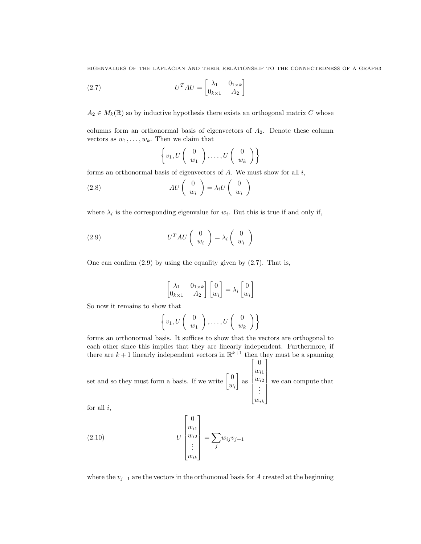EIGENVALUES OF THE LAPLACIAN AND THEIR RELATIONSHIP TO THE CONNECTEDNESS OF A GRAPH3

(2.7) 
$$
U^T A U = \begin{bmatrix} \lambda_1 & 0_{1 \times k} \\ 0_{k \times 1} & A_2 \end{bmatrix}
$$

 $A_2 \in M_k(\mathbb{R})$  so by inductive hypothesis there exists an orthogonal matrix C whose

columns form an orthonormal basis of eigenvectors of  $A_2$ . Denote these column vectors as  $w_1, \ldots, w_k$ . Then we claim that

$$
\left\{v_1, U\left(\begin{array}{c} 0\\w_1\end{array}\right), \ldots, U\left(\begin{array}{c} 0\\w_k\end{array}\right)\right\}
$$

forms an orthonormal basis of eigenvectors of  $A$ . We must show for all  $i$ ,

(2.8) 
$$
AU\left(\begin{array}{c}0\\w_i\end{array}\right)=\lambda_i U\left(\begin{array}{c}0\\w_i\end{array}\right)
$$

where  $\lambda_i$  is the corresponding eigenvalue for  $w_i$ . But this is true if and only if,

(2.9) 
$$
U^T A U \begin{pmatrix} 0 \\ w_i \end{pmatrix} = \lambda_i \begin{pmatrix} 0 \\ w_i \end{pmatrix}
$$

One can confirm  $(2.9)$  by using the equality given by  $(2.7)$ . That is,

$$
\begin{bmatrix} \lambda_1 & 0_{1 \times k} \\ 0_{k \times 1} & A_2 \end{bmatrix} \begin{bmatrix} 0 \\ w_i \end{bmatrix} = \lambda_i \begin{bmatrix} 0 \\ w_i \end{bmatrix}
$$

So now it remains to show that

$$
\left\{v_1, U\left(\begin{array}{c} 0\\w_1\end{array}\right), \ldots, U\left(\begin{array}{c} 0\\w_k\end{array}\right)\right\}
$$

forms an orthonormal basis. It suffices to show that the vectors are orthogonal to each other since this implies that they are linearly independent. Furthermore, if there are  $k+1$  linearly independent vectors in  $\mathbb{R}^{k+1}$  then they must be a spanning  $\lceil$ 0 1

set and so they must form a basis. If we write  $\begin{bmatrix} 0 \\ \vdots \end{bmatrix}$  $w_i$  $\Big]$  as  $w_{i1}$  $w_{i2}$ . . .  $w_{ik}$  $\begin{array}{c} \hline \end{array}$ we can compute that

for all  $i$ ,

(2.10) 
$$
U\begin{bmatrix}0\\w_{i1}\\w_{i2}\\ \vdots\\w_{ik}\end{bmatrix} = \sum_j w_{ij}v_{j+1}
$$

where the  $v_{i+1}$  are the vectors in the orthonomal basis for A created at the beginning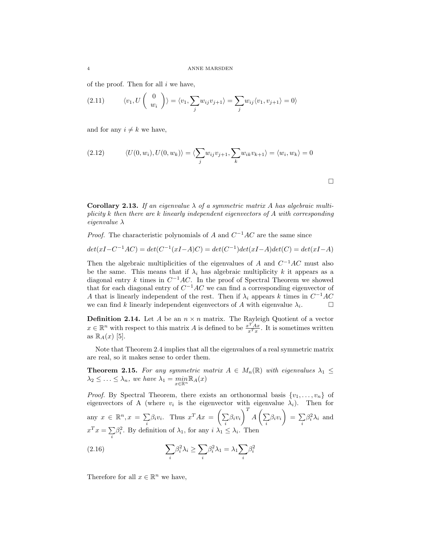of the proof. Then for all  $i$  we have,

(2.11) 
$$
\langle v_1, U\begin{pmatrix} 0\\ w_i \end{pmatrix} \rangle = \langle v_1, \sum_j w_{ij} v_{j+1} \rangle = \sum_j w_{ij} \langle v_1, v_{j+1} \rangle = 0 \rangle
$$

and for any  $i \neq k$  we have,

(2.12) 
$$
\langle U(0, w_i), U(0, w_k) \rangle = \langle \sum_j w_{ij} v_{j+1}, \sum_k w_{ik} v_{k+1} \rangle = \langle w_i, w_k \rangle = 0
$$

Corollary 2.13. If an eigenvalue  $\lambda$  of a symmetric matrix A has algebraic multiplicity k then there are k linearly independent eigenvectors of A with corresponding eigenvalue  $\lambda$ 

*Proof.* The characteristic polynomials of A and  $C^{-1}AC$  are the same since

$$
det(xI - C^{-1}AC) = det(C^{-1}(xI - A)C) = det(C^{-1})det(xI - A)det(C) = det(xI - A)
$$

Then the algebraic multiplicities of the eigenvalues of A and  $C^{-1}AC$  must also be the same. This means that if  $\lambda_i$  has algebraic multiplicity k it appears as a diagonal entry k times in  $C^{-1}AC$ . In the proof of Spectral Theorem we showed that for each diagonal entry of  $C^{-1}AC$  we can find a corresponding eigenvector of A that is linearly independent of the rest. Then if  $\lambda_i$  appears k times in  $C^{-1}AC$ we can find k linearly independent eigenvectors of A with eigenvalue  $\lambda_i$ .  $\Box$ 

**Definition 2.14.** Let A be an  $n \times n$  matrix. The Rayleigh Quotient of a vector  $x \in \mathbb{R}^n$  with respect to this matrix A is defined to be  $\frac{x^T A x}{x^T x}$ . It is sometimes written as  $\mathbb{R}_A(x)$  [5].

Note that Theorem 2.4 implies that all the eigenvalues of a real symmetric matrix are real, so it makes sense to order them.

**Theorem 2.15.** For any symmetric matrix  $A \in M_n(\mathbb{R})$  with eigenvalues  $\lambda_1 \leq$  $\lambda_2 \leq \ldots \leq \lambda_n$ , we have  $\lambda_1 = \min_{x \in \mathbb{R}^n} \mathbb{R}_A(x)$ 

*Proof.* By Spectral Theorem, there exists an orthonormal basis  $\{v_1, \ldots, v_n\}$  of eigenvectors of A (where  $v_i$  is the eigenvector with eigenvalue  $\lambda_i$ ). Then for any  $x \in \mathbb{R}^n, x = \sum$  $\sum_i \beta_i v_i$ . Thus  $x^T A x = \left(\sum_i \alpha_i\right)$  $\sum_i \beta_i v_i \bigg)^T A \left(\sum_i \right)$  $\sum_i \beta_i v_i$  =  $\sum_i$ i  $\beta_i^2 \lambda_i$  and  $x^T x = \sum$ i  $\beta_i^2$ . By definition of  $\lambda_1$ , for any  $i \lambda_1 \leq \lambda_i$ . Then

(2.16) 
$$
\sum_{i} \beta_i^2 \lambda_i \ge \sum_{i} \beta_i^2 \lambda_1 = \lambda_1 \sum_{i} \beta_i^2
$$

Therefore for all  $x \in \mathbb{R}^n$  we have,

 $\Box$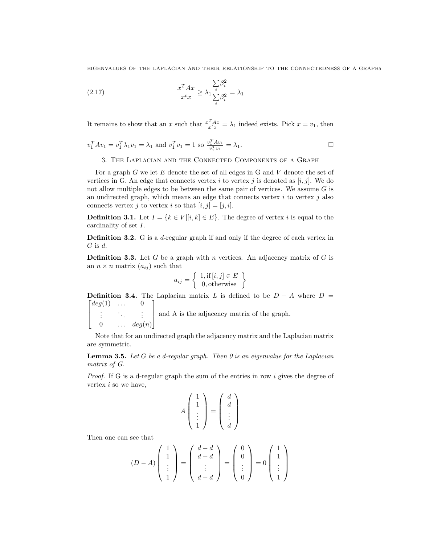EIGENVALUES OF THE LAPLACIAN AND THEIR RELATIONSHIP TO THE CONNECTEDNESS OF A GRAPH5

(2.17) 
$$
\frac{x^T A x}{x^t x} \geq \lambda_1 \frac{\sum_{i} \beta_i^2}{\sum_{i} \beta_i^2} = \lambda_1
$$

It remains to show that an x such that  $\frac{x^T A x}{x^t x} = \lambda_1$  indeed exists. Pick  $x = v_1$ , then

$$
v_1^T Av_1 = v_1^T \lambda_1 v_1 = \lambda_1
$$
 and  $v_1^T v_1 = 1$  so  $\frac{v_1^T Av_1}{v_1^T v_1} = \lambda_1$ .

3. The Laplacian and the Connected Components of a Graph

For a graph  $G$  we let  $E$  denote the set of all edges in  $G$  and  $V$  denote the set of vertices in G. An edge that connects vertex i to vertex j is denoted as  $[i, j]$ . We do not allow multiple edges to be between the same pair of vertices. We assume  $G$  is an undirected graph, which means an edge that connects vertex  $i$  to vertex  $j$  also connects vertex j to vertex i so that  $[i, j] = [j, i]$ .

**Definition 3.1.** Let  $I = \{k \in V | [i, k] \in E\}$ . The degree of vertex i is equal to the cardinality of set I.

**Definition 3.2.** G is a d-regular graph if and only if the degree of each vertex in  $G$  is  $d$ .

**Definition 3.3.** Let G be a graph with n vertices. An adjacency matrix of G is an  $n \times n$  matrix  $(a_{ij})$  such that

$$
a_{ij} = \left\{ \begin{array}{c} 1, \text{if } [i, j] \in E \\ 0, \text{otherwise} \end{array} \right\}
$$

 $\lceil$ **Definition 3.4.** The Laplacian matrix L is defined to be  $D - A$  where  $D =$  $deg(1) \quad \dots \quad 0$ 1

and A is the adjacency matrix of the graph.

 $\overline{\phantom{a}}$ . . . . . . . . .  $0 \qquad \ldots \quad deg(n)$ 

Note that for an undirected graph the adjacency matrix and the Laplacian matrix are symmetric.

**Lemma 3.5.** Let G be a d-regular graph. Then  $\theta$  is an eigenvalue for the Laplacian matrix of G.

*Proof.* If G is a d-regular graph the sum of the entries in row i gives the degree of vertex i so we have,

$$
A\left(\begin{array}{c}1\\1\\ \vdots\\1\end{array}\right) = \left(\begin{array}{c}d\\d\\ \vdots\\d\end{array}\right)
$$

Then one can see that

$$
(D-A)\begin{pmatrix}1\\1\\ \vdots\\1\end{pmatrix}=\begin{pmatrix}d-d\\d-d\\ \vdots\\d-d\end{pmatrix}=\begin{pmatrix}0\\0\\ \vdots\\0\end{pmatrix}=0\begin{pmatrix}1\\1\\ \vdots\\1\end{pmatrix}
$$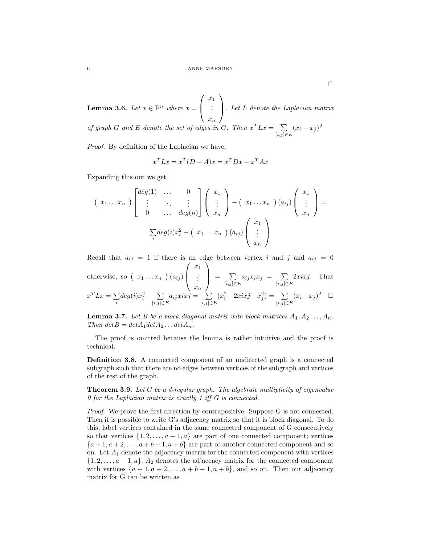**Lemma 3.6.** Let  $x \in \mathbb{R}^n$  where  $x =$  $\sqrt{ }$  $\overline{ }$  $\overline{x}_1$ . . .  $\overline{x}_n$  $\setminus$  $\cdot$  Let L denote the Laplacian matrix of graph G and E denote the set of edges in G. Then  $x^T L x = \sum$  $\sum_{[i,j]\in E} (x_i - x_j)^2$ 

Proof. By definition of the Laplacian we have,

$$
x^T L x = x^T (D - A) x = x^T D x - x^T A x
$$

Expanding this out we get

$$
(x_1...x_n)\begin{bmatrix} deg(1) & \dots & 0 \\ \vdots & \ddots & \vdots \\ 0 & \dots & deg(n) \end{bmatrix} \begin{pmatrix} x_1 \\ \vdots \\ x_n \end{pmatrix} - (x_1...x_n)(a_{ij}) \begin{pmatrix} x_1 \\ \vdots \\ x_n \end{pmatrix} = \sum_i deg(i)x_i^2 - (x_1...x_n)(a_{ij}) \begin{pmatrix} x_1 \\ \vdots \\ x_n \end{pmatrix}
$$

Recall that  $a_{ij} = 1$  if there is an edge between vertex i and j and  $a_{ij} = 0$ otherwise, so  $(x_1 \ldots x_n)(a_{ij})$  $\sqrt{ }$  $\left\lfloor \right\rfloor$  $\overline{x}_1$ . . .  $\bar{x}_n$  $\setminus$  $= \sum_{[i,j]\in$  $\sum_{[i,j]\in E} a_{ij} x_i x_j = \sum_{[i,j]\in E}$  $[i,j]$ ∈ $E$  $2xixj$ . Thus  $x^T L x = \sum$ i  $deg(i)x_i^2 - \sum$  $\sum_{[i,j]\in E} a_{ij} xixj = \sum_{[i,j]\in E}$  $[i,j] \in E$  $(x_i^2-2xixj+x_j^2) = \sum$  $\sum_{[i,j]\in E} (x_i - x_j)^2$   $\Box$ 

**Lemma 3.7.** Let B be a block diagonal matrix with block matrices  $A_1, A_2, \ldots, A_n$ . Then  $det B = det A_1 det A_2 \dots det A_n$ .

The proof is omitted because the lemma is rather intuitive and the proof is technical.

Definition 3.8. A connected component of an undirected graph is a connected subgraph such that there are no edges between vertices of the subgraph and vertices of the rest of the graph.

**Theorem 3.9.** Let G be a d-regular graph. The algebraic multiplicity of eigenvalue 0 for the Laplacian matrix is exactly 1 iff G is connected.

Proof. We prove the first direction by contrapositive. Suppose G is not connected. Then it is possible to write G's adjacency matrix so that it is block diagonal. To do this, label vertices contained in the same connected component of G consecutively so that vertices  $\{1, 2, \ldots, a-1, a\}$  are part of one connected component; vertices  $\{a+1, a+2, \ldots, a+b-1, a+b\}$  are part of another connected component and so on. Let  $A_1$  denote the adjacency matrix for the connected component with vertices  $\{1, 2, \ldots, a-1, a\}, A_2$  denotes the adjacency matrix for the connected component with vertices  $\{a+1, a+2, \ldots, a+b-1, a+b\}$ , and so on. Then our adjacency matrix for G can be written as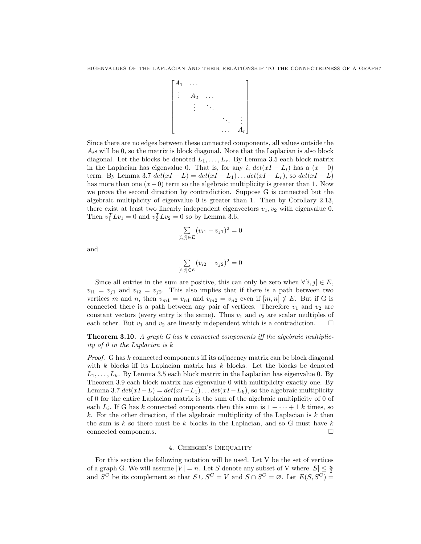$$
\begin{bmatrix} A_1 & \dots & & \\ \vdots & A_2 & \dots & & \\ & & \vdots & \ddots & \\ & & & \ddots & \vdots \\ & & & & \ddots & \vdots \\ & & & & & A_r \end{bmatrix}
$$

Since there are no edges between these connected components, all values outside the  $A_i$ s will be 0, so the matrix is block diagonal. Note that the Laplacian is also block diagonal. Let the blocks be denoted  $L_1, \ldots, L_r$ . By Lemma 3.5 each block matrix in the Laplacian has eigenvalue 0. That is, for any i,  $det(xI - L_i)$  has a  $(x - 0)$ term. By Lemma 3.7  $det(xI - L) = det(xI - L_1) \dots det(xI - L_r)$ , so  $det(xI - L)$ has more than one  $(x-0)$  term so the algebraic multiplicity is greater than 1. Now we prove the second direction by contradiction. Suppose G is connected but the algebraic multiplicity of eigenvalue 0 is greater than 1. Then by Corollary 2.13, there exist at least two linearly independent eigenvectors  $v_1, v_2$  with eigenvalue 0. Then  $v_1^T L v_1 = 0$  and  $v_2^T L v_2 = 0$  so by Lemma 3.6,

$$
\sum_{[i,j]\in E} (v_{i1} - v_{j1})^2 = 0
$$

and

$$
\sum_{i,j|\in E} (v_{i2} - v_{j2})^2 = 0
$$

 $\lceil$ 

Since all entries in the sum are positive, this can only be zero when  $\forall [i, j] \in E$ ,  $v_{i1} = v_{j1}$  and  $v_{i2} = v_{j2}$ . This also implies that if there is a path between two vertices m and n, then  $v_{m1} = v_{n1}$  and  $v_{m2} = v_{n2}$  even if  $[m, n] \notin E$ . But if G is connected there is a path between any pair of vertices. Therefore  $v_1$  and  $v_2$  are constant vectors (every entry is the same). Thus  $v_1$  and  $v_2$  are scalar multiples of each other. But  $v_1$  and  $v_2$  are linearly independent which is a contradiction.  $\Box$ 

**Theorem 3.10.** A graph G has k connected components iff the algebraic multiplicity of 0 in the Laplacian is k

Proof. G has k connected components iff its adjacency matrix can be block diagonal with  $k$  blocks iff its Laplacian matrix has  $k$  blocks. Let the blocks be denoted  $L_1, \ldots, L_k$ . By Lemma 3.5 each block matrix in the Laplacian has eigenvalue 0. By Theorem 3.9 each block matrix has eigenvalue 0 with multiplicity exactly one. By Lemma 3.7  $det(xI - L) = det(xI - L_1) \dots det(xI - L_k)$ , so the algebraic multiplicity of 0 for the entire Laplacian matrix is the sum of the algebraic multiplicity of 0 of each  $L_i$ . If G has k connected components then this sum is  $1 + \cdots + 1$  k times, so k. For the other direction, if the algebraic multiplicity of the Laplacian is  $k$  then the sum is  $k$  so there must be  $k$  blocks in the Laplacian, and so G must have  $k$ connected components.

### 4. Cheeger's Inequality

For this section the following notation will be used. Let V be the set of vertices of a graph G. We will assume  $|V| = n$ . Let S denote any subset of V where  $|S| \leq \frac{n}{2}$ and  $S^C$  be its complement so that  $S \cup S^C = V$  and  $S \cap S^C = \emptyset$ . Let  $E(S, S^C) =$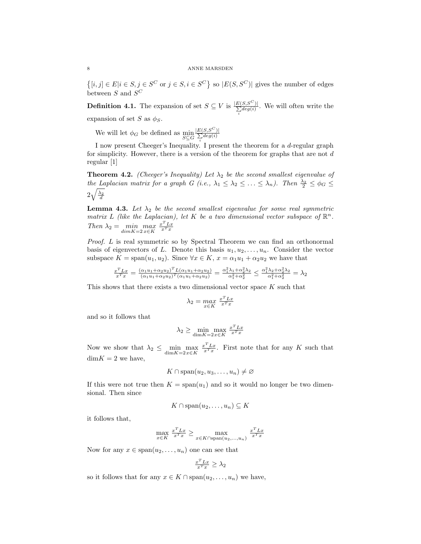$\{[i,j] \in E | i \in S, j \in S^C \text{ or } j \in S, i \in S^C\}$  so  $|E(S, S^C)|$  gives the number of edges between  $S$  and  $S^C$ 

**Definition 4.1.** The expansion of set  $S \subseteq V$  is  $\frac{|E(S, S^C)|}{\sum deg(i)}$  $\frac{\sum\limits_{i}^{[S,S^{\prime}]}}{\sum\limits_{i}^{[deg(i)]}}$ . We will often write the expansion of set S as  $\phi_S$ .

We will let  $\phi_G$  be defined as  $\min_{S \subseteq G}$  $\frac{|E(S, S^C)|}{\sum deg(i)}$  $\sum\limits_i deg(i)$ 

I now present Cheeger's Inequality. I present the theorem for a d-regular graph for simplicity. However, there is a version of the theorem for graphs that are not  $d$ regular [1]

**Theorem 4.2.** (Cheeger's Inequality) Let  $\lambda_2$  be the second smallest eigenvalue of the Laplacian matrix for a graph G (i.e.,  $\lambda_1 \leq \lambda_2 \leq \ldots \leq \lambda_n$ ). Then  $\frac{\lambda_2}{2} \leq \phi_G \leq$  $2\sqrt{\frac{\lambda_2}{d}}$ 

**Lemma 4.3.** Let  $\lambda_2$  be the second smallest eigenvalue for some real symmetric matrix L (like the Laplacian), let K be a two dimensional vector subspace of  $\mathbb{R}^n$ . Then  $\lambda_2 = \min_{dim K = 2} \max_{x \in K}$  $rac{x^T L x}{x^T x}$ 

Proof. L is real symmetric so by Spectral Theorem we can find an orthonormal basis of eigenvectors of L. Denote this basis  $u_1, u_2, \ldots, u_n$ . Consider the vector subspace  $K = \text{span}(u_1, u_2)$ . Since  $\forall x \in K$ ,  $x = \alpha_1 u_1 + \alpha_2 u_2$  we have that

$$
\frac{x^T L x}{x^T x} = \frac{(\alpha_1 u_1 + \alpha_2 u_2)^T L (\alpha_1 u_1 + \alpha_2 u_2)}{(\alpha_1 u_1 + \alpha_2 u_2)^T (\alpha_1 u_1 + \alpha_2 u_2)} = \frac{\alpha_1^2 \lambda_1 + \alpha_2^2 \lambda_2}{\alpha_1^2 + \alpha_2^2} \le \frac{\alpha_1^2 \lambda_2 + \alpha_2^2 \lambda_2}{\alpha_1^2 + \alpha_2^2} = \lambda_2
$$

This shows that there exists a two dimensional vector space  $K$  such that

$$
\lambda_2 = \max_{x \in K} \frac{x^T L x}{x^T x}
$$

and so it follows that

$$
\lambda_2 \ge \min_{\dim K = 2x \in K} \max_{x \in X} \frac{x^T L x}{x^T x}
$$

Now we show that  $\lambda_2 \leq \min_{\dim K = 2x \in K} \max_{\dim K}$  $\frac{x^T L x}{x^T x}$ . First note that for any K such that  $dim K = 2$  we have,

$$
K \cap \mathrm{span}(u_2, u_3, \ldots, u_n) \neq \varnothing
$$

If this were not true then  $K = \text{span}(u_1)$  and so it would no longer be two dimensional. Then since

$$
K \cap \mathrm{span}(u_2, \ldots, u_n) \subseteq K
$$

it follows that,

$$
\max_{x \in K} \frac{x^T L x}{x^T x} \ge \max_{x \in K \cap \text{span}(u_2,...,u_n)} \frac{x^T L x}{x^T x}
$$

Now for any  $x \in \text{span}(u_2, \ldots, u_n)$  one can see that

$$
\frac{x^T L x}{x^T x} \ge \lambda_2
$$

so it follows that for any  $x \in K \cap \text{span}(u_2, \ldots, u_n)$  we have,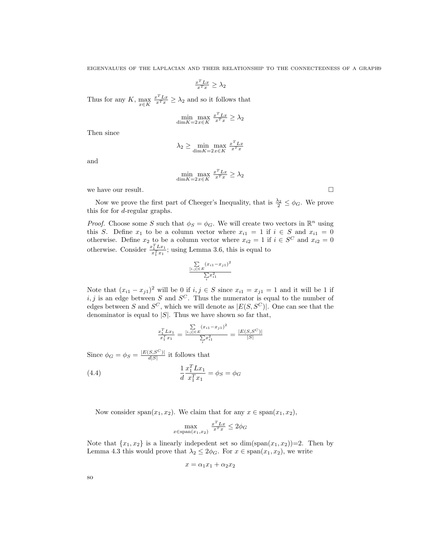$$
\tfrac{x^TLx}{x^Tx} \geq \lambda_2
$$

Thus for any  $K$ ,  $\max_{x \in K}$  $\frac{x^T L x}{x^T x} \geq \lambda_2$  and so it follows that

$$
\min_{\dim K = 2x \in K} \max_{x \in X} \frac{x^T L x}{x^T x} \ge \lambda_2
$$

Then since

$$
\lambda_2 \ge \min_{\dim K = 2x \in K} \max_{x \in X} \frac{x^T L x}{x^T x}
$$

and

$$
\min_{\dim K = 2x \in K} \max_{x \in X} \frac{x^T L x}{x^T x} \ge \lambda_2
$$

we have our result.  $\hfill \square$ 

Now we prove the first part of Cheeger's Inequality, that is  $\frac{\lambda_2}{2} \leq \phi_G$ . We prove this for for d-regular graphs.

*Proof.* Choose some S such that  $\phi_S = \phi_G$ . We will create two vectors in  $\mathbb{R}^n$  using this S. Define  $x_1$  to be a column vector where  $x_{i1} = 1$  if  $i \in S$  and  $x_{i1} = 0$ otherwise. Define  $x_2$  to be a column vector where  $x_{i2} = 1$  if  $i \in S^C$  and  $x_{i2} = 0$ otherwise. Consider  $\frac{x_1^T L x_1}{x_1^T x_1}$ ; using Lemma 3.6, this is equal to

$$
\frac{\sum\limits_{[i,j]\in E}(x_{i1}-x_{j1})^2}{\sum\limits_{i}x_{i1}^2}
$$

Note that  $(x_{i1} - x_{j1})^2$  will be 0 if  $i, j \in S$  since  $x_{i1} = x_{j1} = 1$  and it will be 1 if i, j is an edge between S and  $S^C$ . Thus the numerator is equal to the number of edges between S and  $S^C$ , which we will denote as  $|E(S, S^C)|$ . One can see that the denominator is equal to  $|S|$ . Thus we have shown so far that,

$$
\frac{x_1^T L x_1}{x_1^T x_1} = \frac{\sum\limits_{[i,j] \in E} (x_{i1} - x_{j1})^2}{\sum\limits_{i} x_{i1}^2} = \frac{|E(S, S^C)|}{|S|}
$$

Since  $\phi_G = \phi_S = \frac{|E(S, S^C)|}{d|S|}$  $\frac{S,S^{(s)}(s)}{d|S|}$  it follows that

(4.4) 
$$
\frac{1}{d} \frac{x_1^T L x_1}{x_1^T x_1} = \phi_S = \phi_G
$$

Now consider span $(x_1, x_2)$ . We claim that for any  $x \in \text{span}(x_1, x_2)$ ,

$$
\max_{x \in \text{span}(x_1, x_2)} \frac{x^T L x}{x^T x} \le 2\phi_G
$$

Note that  $\{x_1, x_2\}$  is a linearly indepedent set so  $\dim(\text{span}(x_1, x_2))=2$ . Then by Lemma 4.3 this would prove that  $\lambda_2 \leq 2\phi_G$ . For  $x \in \text{span}(x_1, x_2)$ , we write

$$
x=\alpha_1x_1+\alpha_2x_2
$$

so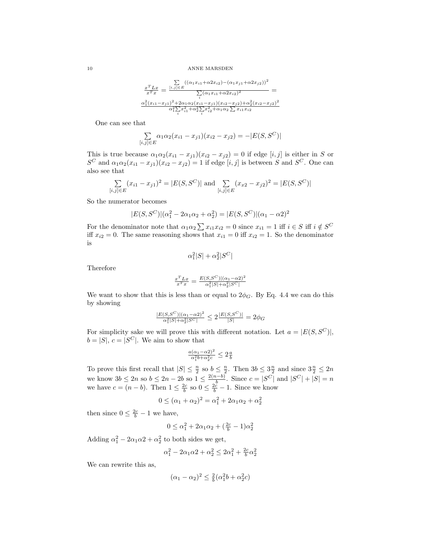10 ANNE MARSDEN

$$
\frac{x^T L x}{x^T x} = \frac{\sum\limits_{[i,j] \in E} ((\alpha_1 x_{i1} + \alpha 2 x_{i2}) - (\alpha_1 x_{j1} + \alpha 2 x_{j2}))^2}{\sum\limits_{i} (\alpha_1 x_{i1} + \alpha 2 x_{i2})^2} = \frac{\alpha_1^2 (x_{i1} - x_{j1})^2 + 2\alpha_1 \alpha_2 (x_{i1} - x_{j1})(x_{i2} - x_{j2}) + \alpha_2^2 (x_{i2} - x_{j2})^2}{\alpha_1^2 \sum\limits_{i} x_{i1}^2 + \alpha_2^2 \sum\limits_{i} x_{i2}^2 + \alpha_1 \alpha_2 \sum\limits_{i} x_{i1} x_{i2}}
$$

One can see that

$$
\sum_{[i,j]\in E} \alpha_1 \alpha_2 (x_{i1} - x_{j1})(x_{i2} - x_{j2}) = -|E(S, S^C)|
$$

This is true because  $\alpha_1\alpha_2(x_{i1}-x_{j1})(x_{i2}-x_{j2})=0$  if edge  $[i, j]$  is either in S or  $S^{C}$  and  $\alpha_1\alpha_2(x_{i1}-x_{j1})(x_{i2}-x_{j2})=1$  if edge  $[i, j]$  is between S and  $S^{C}$ . One can also see that

$$
\sum_{[i,j]\in E} (x_{i1} - x_{j1})^2 = |E(S, S^C)| \text{ and } \sum_{[i,j]\in E} (x_{i2} - x_{j2})^2 = |E(S, S^C)|
$$

So the numerator becomes

$$
|E(S, S^{C})|(\alpha_1^2 - 2\alpha_1\alpha_2 + \alpha_2^2) = |E(S, S^{C})|(\alpha_1 - \alpha_2)^2
$$

For the denominator note that  $\alpha_1 \alpha_2 \sum x_{i1} x_{i2} = 0$  since  $x_{i1} = 1$  iff  $i \in S$  iff  $i \notin S^C$ iff  $x_{i2} = 0$ . The same reasoning shows that  $x_{i1} = 0$  iff  $x_{i2} = 1$ . So the denominator is

$$
\alpha_1^2 |S| + \alpha_2^2 |S^C|
$$

Therefore

$$
\frac{x^T L x}{x^T x} = \frac{E(S, S^C)|(\alpha_1 - \alpha_2)^2}{\alpha_1^2 |S| + \alpha_2^2 |S^C|}
$$

We want to show that this is less than or equal to  $2\phi_G$ . By Eq. 4.4 we can do this by showing

$$
\frac{|E(S, S^{C})|(\alpha_1 - \alpha_2)^2}{\alpha_1^2 |S| + \alpha_2^2 |S^{C}|} \le 2 \frac{|E(S, S^{C})|}{|S|} = 2\phi_G
$$

For simplicity sake we will prove this with different notation. Let  $a = |E(S, S^C)|$ ,  $b = |S|, c = |S^C|.$  We aim to show that

$$
\tfrac{a(\alpha_1-\alpha2)^2}{\alpha_1^2b+\alpha_2^2c}\leq 2\tfrac{a}{b}
$$

To prove this first recall that  $|S| \leq \frac{n}{2}$  so  $b \leq \frac{n}{2}$ . Then  $3b \leq 3\frac{n}{2}$  and since  $3\frac{n}{2} \leq 2n$ we know  $3b \leq 2n$  so  $b \leq 2n-2b$  so  $1 \leq \frac{2(n-b)}{b}$  $\frac{b^{1-b}}{b}$ . Since  $c = |S^C|$  and  $|S^C| + |S| = n$ we have  $c = (n - b)$ . Then  $1 \leq \frac{2c}{b}$  so  $0 \leq \frac{2c}{b} - 1$ . Since we know

$$
0 \leq (\alpha_1 + \alpha_2)^2 = \alpha_1^2 + 2\alpha_1\alpha_2 + \alpha_2^2
$$

then since  $0 \leq \frac{2c}{b} - 1$  we have,

$$
0 \le \alpha_1^2 + 2\alpha_1 \alpha_2 + (\frac{2c}{b} - 1)\alpha_2^2
$$

Adding  $\alpha_1^2 - 2\alpha_1\alpha_2 + \alpha_2^2$  to both sides we get,

$$
\alpha_1^2 - 2\alpha_1 \alpha_2 + \alpha_2^2 \le 2\alpha_1^2 + \frac{2c}{b} \alpha_2^2
$$

We can rewrite this as,

$$
(\alpha_1 - \alpha_2)^2 \le \frac{2}{b}(\alpha_1^2 b + \alpha_2^2 c)
$$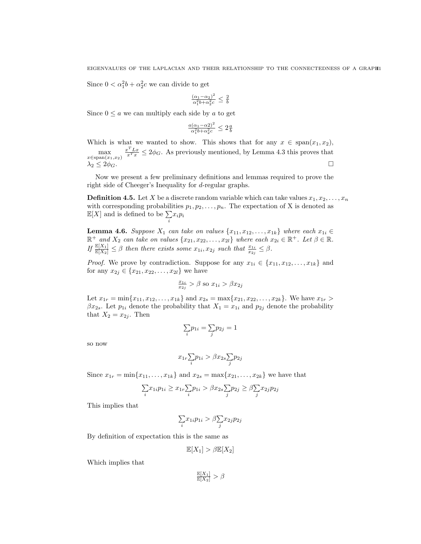Since  $0 < \alpha_1^2 b + \alpha_2^2 c$  we can divide to get

$$
\tfrac{(\alpha_1-\alpha_2)^2}{\alpha_1^2b+\alpha_2^2c}\leq\tfrac{2}{b}
$$

Since  $0 \le a$  we can multiply each side by a to get

$$
\frac{a(\alpha_1 - \alpha_2)^2}{\alpha_1^2 b + \alpha_2^2 c} \le 2\frac{a}{b}
$$

Which is what we wanted to show. This shows that for any  $x \in \text{span}(x_1, x_2)$ ,  $\max$ <br> $x \in \text{span}(x_1, x_2)$  $\frac{x^T L x}{x^T x} \leq 2\phi_G$ . As previously mentioned, by Lemma 4.3 this proves that  $\lambda_2 \leq 2\phi_G$ .

Now we present a few preliminary definitions and lemmas required to prove the right side of Cheeger's Inequality for d-regular graphs.

**Definition 4.5.** Let X be a discrete random variable which can take values  $x_1, x_2, \ldots, x_n$ with corresponding probabilities  $p_1, p_2, \ldots, p_n$ . The expectation of X is denoted as  $\mathbb{E}[X]$  and is defined to be  $\sum$  $\sum_i x_i p_i$ 

**Lemma 4.6.** Suppose  $X_1$  can take on values  $\{x_{11}, x_{12}, \ldots, x_{1k}\}$  where each  $x_{1i} \in$  $\mathbb{R}^+$  and  $X_2$  can take on values  $\{x_{21}, x_{22}, \ldots, x_{2l}\}$  where each  $x_{2i} \in \mathbb{R}^+$ . Let  $\beta \in \mathbb{R}$ . If  $\frac{\mathbb{E}[X_1]}{\mathbb{E}[X_2]} \leq \beta$  then there exists some  $x_{1i}, x_{2j}$  such that  $\frac{x_{1i}}{x_{2j}} \leq \beta$ .

*Proof.* We prove by contradiction. Suppose for any  $x_{1i} \in \{x_{11}, x_{12}, \ldots, x_{1k}\}\$  and for any  $x_{2j} \in \{x_{21}, x_{22}, \ldots, x_{2l}\}\$  we have

$$
\frac{x_{1i}}{x_{2j}} > \beta \text{ so } x_{1i} > \beta x_{2j}
$$

Let  $x_{1r} = \min\{x_{11}, x_{12}, \ldots, x_{1k}\}\$  and  $x_{2s} = \max\{x_{21}, x_{22}, \ldots, x_{2k}\}\$ . We have  $x_{1r} >$  $\beta x_{2s}$ . Let  $p_{1i}$  denote the probability that  $X_1 = x_{1i}$  and  $p_{2j}$  denote the probability that  $X_2 = x_{2j}$ . Then

$$
\sum_i p_{1i} = \sum_j p_{2j} = 1
$$

so now

$$
x_{1r}\sum_{i}p_{1i} > \beta x_{2s}\sum_{j}p_{2j}
$$

Since  $x_{1r} = \min\{x_{11}, \ldots, x_{1k}\}\$  and  $x_{2s} = \max\{x_{21}, \ldots, x_{2k}\}\$  we have that

$$
\underset{i}{\sum} x_{1i} p_{1i} \geq x_{1r} \underset{i}{\sum} p_{1i} > \beta x_{2s} \underset{j}{\sum} p_{2j} \geq \beta \underset{j}{\sum} x_{2j} p_{2j}
$$

This implies that

$$
\textstyle\sum\limits_i\! x_{1i}p_{1i} > \beta \textstyle\sum\limits_j\! x_{2j}p_{2j}
$$

By definition of expectation this is the same as

$$
\mathbb{E}[X_1] > \beta \mathbb{E}[X_2]
$$

Which implies that

 $\frac{\mathbb{E}[X_1]}{\mathbb{E}[X_2]} > \beta$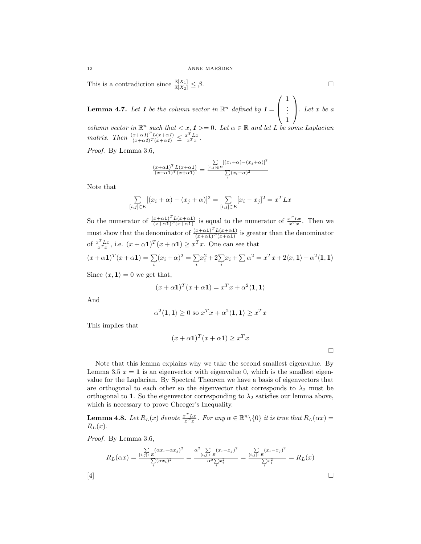This is a contradiction since  $\frac{\mathbb{E}[X_1]}{\mathbb{E}[X_2]} \leq \beta$ .

**Lemma 4.7.** Let 1 be the column vector in  $\mathbb{R}^n$  defined by  $1 =$  $\sqrt{ }$  $\overline{ }$ 1 . . . 1  $\setminus$  $\Big\}$ . Let x be a

column vector in  $\mathbb{R}^n$  such that  $\langle x, 1 \rangle = 0$ . Let  $\alpha \in \mathbb{R}$  and let L be some Laplacian matrix. Then  $\frac{(x+\alpha 1)^{T}L(x+\alpha 1)}{(x+\alpha 1)^{T}(x+\alpha 1)} \leq \frac{x^{T}Lx}{x^{T}x}$ .

Proof. By Lemma 3.6,

$$
\frac{(x+\alpha 1)^{T}L(x+\alpha 1)}{(x+\alpha 1)^{T}(x+\alpha 1)} = \frac{\sum\limits_{[i,j]\in E}[(x_{i}+\alpha)-(x_{j}+\alpha)]^{2}}{\sum\limits_{i}(x_{i}+\alpha)^{2}}
$$

Note that

$$
\sum_{[i,j]\in E} [(x_i + \alpha) - (x_j + \alpha)]^2 = \sum_{[i,j]\in E} [x_i - x_j]^2 = x^T L x
$$

So the numerator of  $\frac{(x+\alpha)^{T}L(x+\alpha)}{(x+\alpha)^{T}(x+\alpha)}$  $\frac{(x+\alpha 1)^T L(x+\alpha 1)}{(x+\alpha 1)^T (x+\alpha 1)}$  is equal to the numerator of  $\frac{x^T L x}{x^T x}$ . Then we must show that the denominator of  $\frac{(x+\alpha 1)^{T}L(x+\alpha 1)}{(x+\alpha 1)^{T}(x+\alpha 1)}$  $\frac{x+\alpha_1}{(x+\alpha_1)^T (x+\alpha_1)}$  is greater than the denominator of  $\frac{x^T L x}{x^T x}$ , i.e.  $(x + \alpha \mathbf{1})^T (x + \alpha \mathbf{1}) \geq x^T x$ . One can see that  $(x+\alpha 1)^T(x+\alpha 1)=\sum$  $\sum_i (x_i + \alpha)^2 = \sum_i$ i  $x_i^2 + 2\sum_i x_i + \sum \alpha^2 = x^T x + 2\langle x, \mathbf{1}\rangle + \alpha^2 \langle \mathbf{1}, \mathbf{1}\rangle$ 

Since  $\langle x, 1 \rangle = 0$  we get that,

$$
(x + \alpha \mathbf{1})^T (x + \alpha \mathbf{1}) = x^T x + \alpha^2 \langle \mathbf{1}, \mathbf{1} \rangle
$$

And

$$
\alpha^2 \langle \mathbf{1}, \mathbf{1} \rangle \ge 0 \text{ so } x^T x + \alpha^2 \langle \mathbf{1}, \mathbf{1} \rangle \ge x^T x
$$

This implies that

$$
(x + \alpha \mathbf{1})^T (x + \alpha \mathbf{1}) \ge x^T x
$$

Note that this lemma explains why we take the second smallest eigenvalue. By Lemma 3.5  $x = 1$  is an eigenvector with eigenvalue 0, which is the smallest eigenvalue for the Laplacian. By Spectral Theorem we have a basis of eigenvectors that are orthogonal to each other so the eigenvector that corresponds to  $\lambda_2$  must be orthogonal to 1. So the eigenvector corresponding to  $\lambda_2$  satisfies our lemma above, which is necessary to prove Cheeger's Inequality.

**Lemma 4.8.** Let  $R_L(x)$  denote  $\frac{x^T L x}{x^T x}$ . For any  $\alpha \in \mathbb{R}^n \setminus \{0\}$  it is true that  $R_L(\alpha x) =$  $R_L(x)$ .

Proof. By Lemma 3.6,

$$
R_L(\alpha x) = \frac{\sum\limits_{[i,j] \in E} (\alpha x_i - \alpha x_j)^2}{\sum\limits_{i} (\alpha x_i)^2} = \frac{\alpha^2 \sum\limits_{[i,j] \in E} (x_i - x_j)^2}{\alpha^2 \sum\limits_{i} x_i^2} = \frac{\sum\limits_{[i,j] \in E} (x_i - x_j)^2}{\sum\limits_{i} x_i^2} = R_L(x)
$$
\n[4]

$$
\Box
$$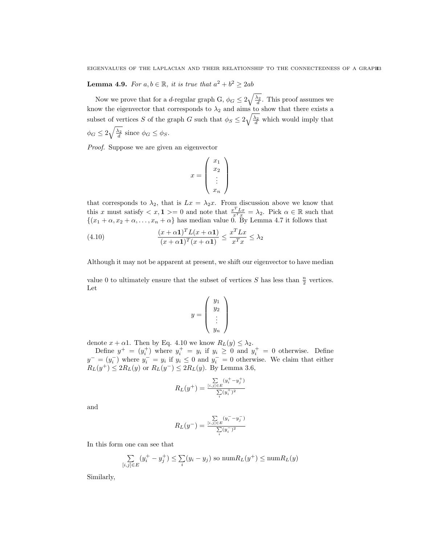**Lemma 4.9.** For  $a, b \in \mathbb{R}$ , it is true that  $a^2 + b^2 \ge 2ab$ 

Now we prove that for a *d*-regular graph G,  $\phi_G \leq 2\sqrt{\frac{\lambda_2}{d}}$ . This proof assumes we know the eigenvector that corresponds to  $\lambda_2$  and aims to show that there exists a subset of vertices S of the graph G such that  $\phi_S \leq 2\sqrt{\frac{\lambda_2}{d}}$  which would imply that  $\phi_G \leq 2\sqrt{\frac{\lambda_2}{d}}$  since  $\phi_G \leq \phi_S$ .

Proof. Suppose we are given an eigenvector

$$
x = \left(\begin{array}{c} x_1 \\ x_2 \\ \vdots \\ x_n \end{array}\right)
$$

that corresponds to  $\lambda_2$ , that is  $Lx = \lambda_2 x$ . From discussion above we know that this x must satisfy  $\langle x, 1 \rangle = 0$  and note that  $\frac{x^T L x}{x^T x} = \lambda_2$ . Pick  $\alpha \in \mathbb{R}$  such that  $\{(x_1 + \alpha, x_2 + \alpha, \dots, x_n + \alpha)\}\$ has median value 0. By Lemma 4.7 it follows that

(4.10) 
$$
\frac{(x+\alpha 1)^{T}L(x+\alpha 1)}{(x+\alpha 1)^{T}(x+\alpha 1)} \leq \frac{x^{T}Lx}{x^{T}x} \leq \lambda_{2}
$$

Although it may not be apparent at present, we shift our eigenvector to have median

value 0 to ultimately ensure that the subset of vertices  $S$  has less than  $\frac{n}{2}$  vertices. Let

$$
y = \left(\begin{array}{c} y_1 \\ y_2 \\ \vdots \\ y_n \end{array}\right)
$$

denote  $x + \alpha 1$ . Then by Eq. 4.10 we know  $R_L(y) \leq \lambda_2$ .

Define  $y^+ = (y_i^+)$  where  $y_i^+ = y_i$  if  $y_i \geq 0$  and  $y_i^+ = 0$  otherwise. Define  $y^- = (y_i^-)$  where  $y_i^- = y_i$  if  $y_i \leq 0$  and  $y_i^- = 0$  otherwise. We claim that either  $R_L(y^+) \leq 2R_L(y)$  or  $R_L(y^-) \leq 2R_L(y)$ . By Lemma 3.6,

$$
R_L(y^+) = \frac{\sum\limits_{[i,j] \in E} (y_i^+ - y_j^+)}{\sum\limits_{i} (y_i^+)^2}
$$

and

$$
R_L(y^-) = \frac{\sum\limits_{[i,j] \in E} (y_i^- - y_j^-)}{\sum\limits_{i} (y_i^-)^2}
$$

In this form one can see that

$$
\sum_{[i,j]\in E} (y_i^+ - y_j^+) \le \sum_i (y_i - y_j) \text{ so } \text{num} R_L(y^+) \le \text{num} R_L(y)
$$

Similarly,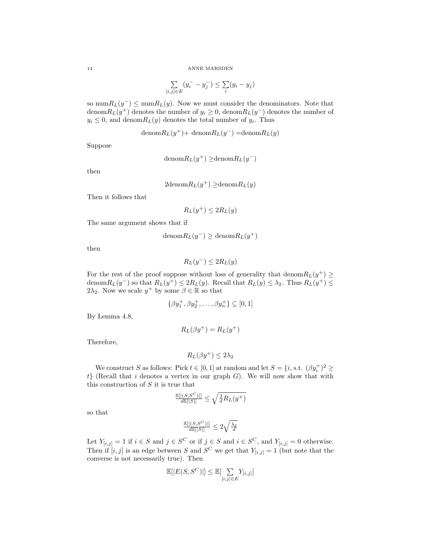$$
\sum_{[i,j]\in E} (y_i^- - y_j^-) \le \sum_i (y_i - y_j)
$$

so num $R_L(y^{-}) \leq \text{num}R_L(y)$ . Now we must consider the denominators. Note that denom $R_L(y^+)$  denotes the number of  $y_i \geq 0$ , denom $R_L(y^-)$  denotes the number of  $y_i \leq 0$ , and denom $R_L(y)$  denotes the total number of  $y_i$ . Thus

denom
$$
R_L(y^+)
$$
+ denom $R_L(y^-)$ =denom $R_L(y)$ 

Suppose

$$
denom R_L(y^+) \geq denom R_L(y^-)
$$

then

$$
2\mathrm{denom}R_L(y^+) \ge \mathrm{denom}R_L(y)
$$

Then it follows that

$$
R_L(y^+) \le 2R_L(y)
$$

The same argument shows that if

$$
denom R_L(y^-) \geq denom R_L(y^+)
$$

then

$$
R_L(y^-) \le 2R_L(y)
$$

For the rest of the proof suppose without loss of generality that denom $R_L(y^+) \geq$ denom $R_L(y^-)$  so that  $R_L(y^+) \leq 2R_L(y)$ . Recall that  $R_L(y) \leq \lambda_2$ . Thus  $R_L(y^+) \leq$  $2\lambda_2$ . Now we scale  $y^+$  by some  $\beta \in \mathbb{R}$  so that

$$
\{\beta y_1^+, \beta y_2^+, \dots, \beta y_n^+\} \subseteq [0,1]
$$

By Lemma 4.8,

$$
R_L(\beta y^+) = R_L(y^+)
$$

Therefore,

$$
R_L(\beta y^+) \le 2\lambda_2
$$

We construct S as follows: Pick  $t \in [0, 1]$  at random and let  $S = \{i, \text{s.t. } (\beta y_i^+)^2 \geq 1\}$  $t$ } (Recall that i denotes a vertex in our graph  $G$ ). We will now show that with this construction of  $S$  it is true that

$$
\frac{\mathbb{E}[|(S,S^C)|]}{d\mathbb{E}[|S|]} \le \sqrt{\frac{2}{d}R_L(y^+)}
$$

so that

$$
\tfrac{\mathbb{E}[|(S,S^C)|]}{d\mathbb{E}[|S|]}\leq 2\sqrt{\tfrac{\lambda_2}{d}}
$$

Let  $Y_{[i,j]} = 1$  if  $i \in S$  and  $j \in S^C$  or if  $j \in S$  and  $i \in S^C$ , and  $Y_{[i,j]} = 0$  otherwise. Then if  $[i, j]$  is an edge between S and S<sup>C</sup> we get that  $Y_{[i,j]} = 1$  (but note that the converse is not necessarily true). Then

$$
\mathbb{E}[|E(S, S^C)|] \leq \mathbb{E}[\sum_{[i,j] \in E} Y_{[i,j]}]
$$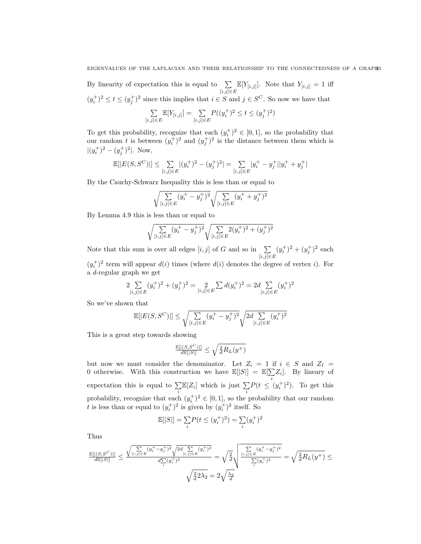By linearity of expectation this is equal to  $\sum$  $\sum_{[i,j]\in E} \mathbb{E}[Y_{[i,j]}].$  Note that  $Y_{[i,j]} = 1$  iff  $(y_i^+)^2 \le t \le (y_j^+)^2$  since this implies that  $i \in S$  and  $j \in S^C$ . So now we have that

$$
\sum_{[i,j]\in E} \mathbb{E}[Y_{[i,j]}] = \sum_{[i,j]\in E} P((y_i^+)^2 \le t \le (y_j^+)^2)
$$

To get this probability, recognize that each  $(y_i^+)^2 \in [0,1]$ , so the probability that our random t is between  $(y_i^+)^2$  and  $(y_j^+)^2$  is the distance between them which is  $|(y_i^+)^2 - (y_j^+)^2|$ . Now,

$$
\mathbb{E}[|E(S, S^{C})|] \leq \sum_{[i,j] \in E} |(y_i^+)^2 - (y_j^+)^2| = \sum_{[i,j] \in E} |y_i^+ - y_j^+||y_i^+ + y_j^+|
$$

By the Cauchy-Schwarz Inequality this is less than or equal to

$$
\sqrt{\sum_{[i,j]\in E} (y_i^+ - y_j^+)^2} \sqrt{\sum_{[i,j]\in E} (y_i^+ + y_j^+)^2}
$$

By Lemma 4.9 this is less than or equal to

$$
\sqrt{\sum_{[i,j]\in E} (y_i^+ - y_j^+)^2} \sqrt{\sum_{[i,j]\in E} 2(y_i^+)^2 + (y_j^+)^2}
$$

Note that this sum is over all edges  $[i, j]$  of G and so in  $\sum$  $[i,j]$ ∈ $E$  $(y_i^+)^2 + (y_j^+)^2$  each  $(y_i^+)^2$  term will appear  $d(i)$  times (where  $d(i)$  denotes the degree of vertex i). For

a d-regular graph we get

$$
2\sum_{[i,j]\in E} (y_i^+)^2 + (y_j^+)^2 = \sum_{[i,j]\in E} \sum_{j\in E} d(y_i^+)^2 = 2d \sum_{[i,j]\in E} (y_i^+)^2
$$

So we've shown that

$$
\mathbb{E}[|E(S, S^C)|] \le \sqrt{\sum_{[i,j] \in E} (y_i^+ - y_j^+)^2} \sqrt{2d \sum_{[i,j] \in E} (y_i^+)^2}
$$

This is a great step towards showing

$$
\tfrac{\mathbb{E}[|(S,S^C)|]}{d\mathbb{E}[|S|]}\leq \sqrt{\tfrac{2}{d}R_L(y^+)}
$$

but now we must consider the denominator. Let  $Z_i = 1$  if  $i \in S$  and  $Z_I =$ 0 otherwise. With this construction we have  $\mathbb{E}[|S|] = \mathbb{E}[\sum_{n=1}^{\infty}$  $\sum_i Z_i$ . By lineary of expectation this is equal to  $\Sigma$  $\sum_i \mathbb{E}[Z_i]$  which is just  $\sum_i$ i  $P(t \leq (y_i^+)^2)$ . To get this probability, recognize that each  $(y_i^+)^2 \in [0,1]$ , so the probability that our random t is less than or equal to  $(y_i^+)^2$  is given by  $(y_i^+)^2$  itself. So

$$
\mathbb{E}[|S|] = \sum_{i} P(t \le (y_i^+)^2) = \sum_{i} (y_i^+)^2
$$

Thus

$$
\frac{\mathbb{E}[|(S,S^C)|]}{d\mathbb{E}[|S|]} \leq \frac{\sqrt{\sum\limits_{[i,j]\in E} (y_i^+-y_j^+)^2}\sqrt{2d\sum\limits_{[i,j]\in E} (y_i^+)^2}}{d\sum\limits_{i} (y_i^+)^2} = \sqrt{\frac{2}{d}}\sqrt{\frac{\sum\limits_{[i,j]\in E} (y_i^+-y_j^+)^2}{\sum\limits_{i} (y_i^+)^2}}} = \sqrt{\frac{2}{d}}R_L(y^+) \leq \sqrt{\frac{2}{d}}2\lambda_2 = 2\sqrt{\frac{\lambda_2}{d}}
$$